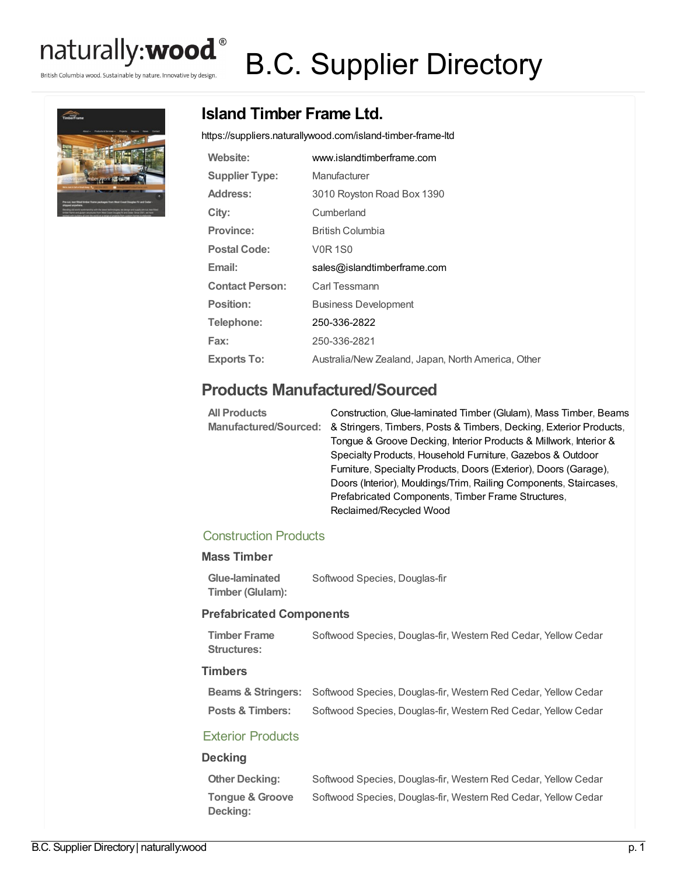

British Columbia wood. Sustainable by nature. Innovative by design.

# B.C. Supplier Directory



# **Island Timber Frame Ltd.**

<https://suppliers.naturallywood.com/island-timber-frame-ltd>

| Website:               | www.islandtimberframe.com                          |
|------------------------|----------------------------------------------------|
| <b>Supplier Type:</b>  | Manufacturer                                       |
| Address:               | 3010 Royston Road Box 1390                         |
| City:                  | Cumberland                                         |
| <b>Province:</b>       | British Columbia                                   |
| <b>Postal Code:</b>    | <b>V0R1S0</b>                                      |
| Email:                 | sales@islandtimberframe.com                        |
|                        |                                                    |
| <b>Contact Person:</b> | Carl Tessmann                                      |
| Position:              | <b>Business Development</b>                        |
| Telephone:             | 250-336-2822                                       |
| Fax:                   | 250-336-2821                                       |
| <b>Exports To:</b>     | Australia/New Zealand, Japan, North America, Other |

## **Products Manufactured/Sourced**

| <b>All Products</b> | Construction, Glue-laminated Timber (Glulam), Mass Timber, Beams                         |
|---------------------|------------------------------------------------------------------------------------------|
|                     | Manufactured/Sourced: & Stringers, Timbers, Posts & Timbers, Decking, Exterior Products, |
|                     | Tongue & Groove Decking, Interior Products & Millwork, Interior &                        |
|                     | Specialty Products, Household Furniture, Gazebos & Outdoor                               |
|                     | Furniture, Specialty Products, Doors (Exterior), Doors (Garage),                         |
|                     | Doors (Interior), Mouldings/Trim, Railing Components, Staircases,                        |
|                     | Prefabricated Components, Timber Frame Structures,                                       |
|                     | Reclaimed/Recycled Wood                                                                  |

### Construction Products

#### **Mass Timber**

**Glue-laminated Timber (Glulam):** Softwood Species, Douglas-fir

#### **Prefabricated Components**

**Timber Frame Structures:** Softwood Species, Douglas-fir, Western Red Cedar, Yellow Cedar

#### **Timbers**

**Beams & Stringers:** Softwood Species, Douglas-fir, Western Red Cedar, Yellow Cedar **Posts & Timbers:** Softwood Species, Douglas-fir, Western Red Cedar, Yellow Cedar

#### Exterior Products

#### **Decking**

**Other Decking:** Softwood Species, Douglas-fir, Western Red Cedar, Yellow Cedar **Tongue & Groove Decking:** Softwood Species, Douglas-fir, Western Red Cedar, Yellow Cedar